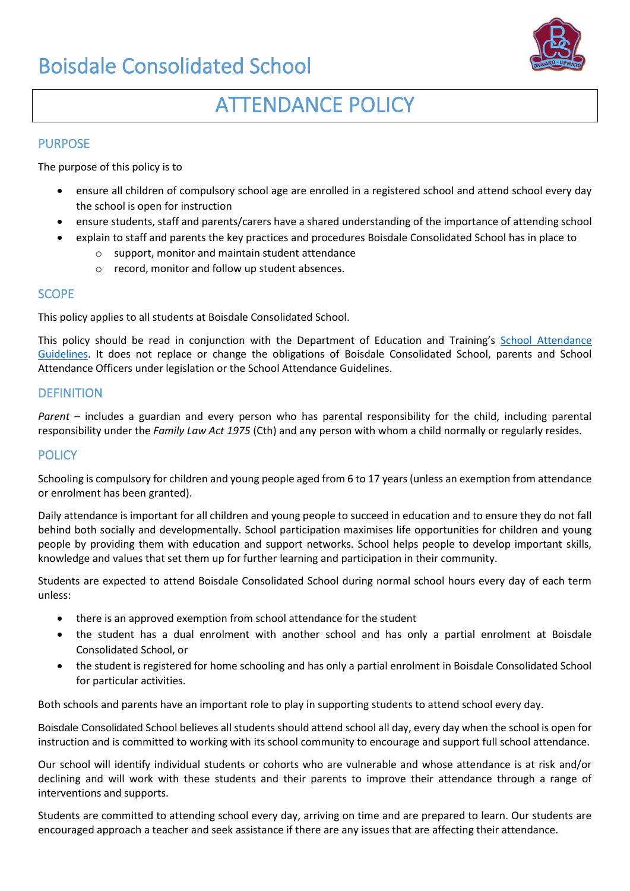# Boisdale Consolidated School



# ATTENDANCE POLICY

### PURPOSE

The purpose of this policy is to

- ensure all children of compulsory school age are enrolled in a registered school and attend school every day the school is open for instruction
- ensure students, staff and parents/carers have a shared understanding of the importance of attending school
- explain to staff and parents the key practices and procedures Boisdale Consolidated School has in place to
	- o support, monitor and maintain student attendance
	- o record, monitor and follow up student absences.

#### **SCOPE**

This policy applies to all students at Boisdale Consolidated School.

This policy should be read in conjunction with the Department of Education and Training's School Attendance [Guidelines.](https://www.education.vic.gov.au/school/teachers/studentmanagement/attendance/Pages/default.aspx) It does not replace or change the obligations of Boisdale Consolidated School, parents and School Attendance Officers under legislation or the School Attendance Guidelines.

#### **DEFINITION**

*Parent* – includes a guardian and every person who has parental responsibility for the child, including parental responsibility under the *Family Law Act 1975* (Cth) and any person with whom a child normally or regularly resides.

#### **POLICY**

Schooling is compulsory for children and young people aged from 6 to 17 years (unless an exemption from attendance or enrolment has been granted).

Daily attendance is important for all children and young people to succeed in education and to ensure they do not fall behind both socially and developmentally. School participation maximises life opportunities for children and young people by providing them with education and support networks. School helps people to develop important skills, knowledge and values that set them up for further learning and participation in their community.

Students are expected to attend Boisdale Consolidated School during normal school hours every day of each term unless:

- there is an approved exemption from school attendance for the student
- the student has a dual enrolment with another school and has only a partial enrolment at Boisdale Consolidated School, or
- the student is registered for home schooling and has only a partial enrolment in Boisdale Consolidated School for particular activities.

Both schools and parents have an important role to play in supporting students to attend school every day.

Boisdale Consolidated School believes all students should attend school all day, every day when the school is open for instruction and is committed to working with its school community to encourage and support full school attendance.

Our school will identify individual students or cohorts who are vulnerable and whose attendance is at risk and/or declining and will work with these students and their parents to improve their attendance through a range of interventions and supports.

Students are committed to attending school every day, arriving on time and are prepared to learn. Our students are encouraged approach a teacher and seek assistance if there are any issues that are affecting their attendance.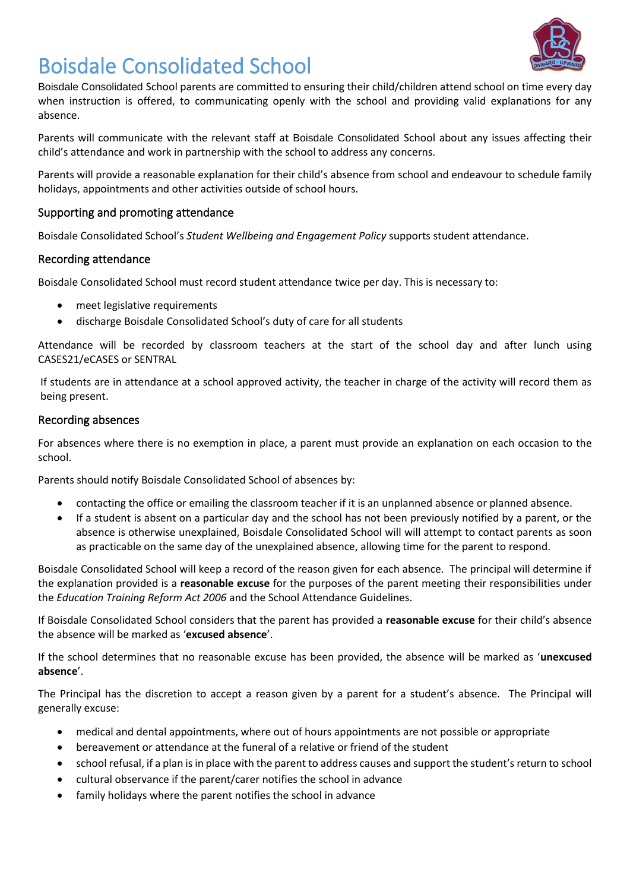

# Boisdale Consolidated School

Boisdale Consolidated School parents are committed to ensuring their child/children attend school on time every day when instruction is offered, to communicating openly with the school and providing valid explanations for any absence.

Parents will communicate with the relevant staff at Boisdale Consolidated School about any issues affecting their child's attendance and work in partnership with the school to address any concerns.

Parents will provide a reasonable explanation for their child's absence from school and endeavour to schedule family holidays, appointments and other activities outside of school hours.

# Supporting and promoting attendance

Boisdale Consolidated School's *Student Wellbeing and Engagement Policy* supports student attendance.

#### Recording attendance

Boisdale Consolidated School must record student attendance twice per day. This is necessary to:

- meet legislative requirements
- discharge Boisdale Consolidated School's duty of care for all students

Attendance will be recorded by classroom teachers at the start of the school day and after lunch using CASES21/eCASES or SENTRAL

If students are in attendance at a school approved activity, the teacher in charge of the activity will record them as being present.

#### Recording absences

For absences where there is no exemption in place, a parent must provide an explanation on each occasion to the school.

Parents should notify Boisdale Consolidated School of absences by:

- contacting the office or emailing the classroom teacher if it is an unplanned absence or planned absence.
- If a student is absent on a particular day and the school has not been previously notified by a parent, or the absence is otherwise unexplained, Boisdale Consolidated School will will attempt to contact parents as soon as practicable on the same day of the unexplained absence, allowing time for the parent to respond.

Boisdale Consolidated School will keep a record of the reason given for each absence. The principal will determine if the explanation provided is a **reasonable excuse** for the purposes of the parent meeting their responsibilities under the *Education Training Reform Act 2006* and the School Attendance Guidelines.

If Boisdale Consolidated School considers that the parent has provided a **reasonable excuse** for their child's absence the absence will be marked as '**excused absence**'.

If the school determines that no reasonable excuse has been provided, the absence will be marked as '**unexcused absence**'.

The Principal has the discretion to accept a reason given by a parent for a student's absence. The Principal will generally excuse:

- medical and dental appointments, where out of hours appointments are not possible or appropriate
- bereavement or attendance at the funeral of a relative or friend of the student
- school refusal, if a plan is in place with the parent to address causes and support the student's return to school
- cultural observance if the parent/carer notifies the school in advance
- family holidays where the parent notifies the school in advance